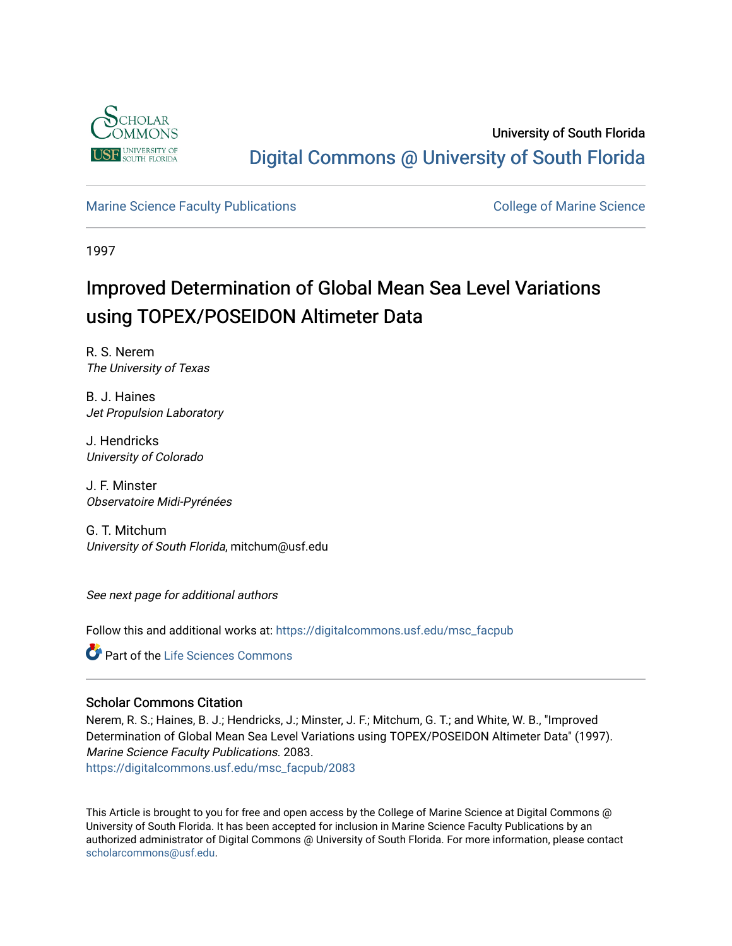

# University of South Florida [Digital Commons @ University of South Florida](https://digitalcommons.usf.edu/)

# [Marine Science Faculty Publications](https://digitalcommons.usf.edu/msc_facpub) **College of Marine Science** College of Marine Science

1997

# Improved Determination of Global Mean Sea Level Variations using TOPEX/POSEIDON Altimeter Data

R. S. Nerem The University of Texas

B. J. Haines Jet Propulsion Laboratory

J. Hendricks University of Colorado

J. F. Minster Observatoire Midi-Pyrénées

G. T. Mitchum University of South Florida, mitchum@usf.edu

See next page for additional authors

Follow this and additional works at: [https://digitalcommons.usf.edu/msc\\_facpub](https://digitalcommons.usf.edu/msc_facpub?utm_source=digitalcommons.usf.edu%2Fmsc_facpub%2F2083&utm_medium=PDF&utm_campaign=PDFCoverPages) 

**Part of the Life Sciences Commons** 

## Scholar Commons Citation

Nerem, R. S.; Haines, B. J.; Hendricks, J.; Minster, J. F.; Mitchum, G. T.; and White, W. B., "Improved Determination of Global Mean Sea Level Variations using TOPEX/POSEIDON Altimeter Data" (1997). Marine Science Faculty Publications. 2083. [https://digitalcommons.usf.edu/msc\\_facpub/2083](https://digitalcommons.usf.edu/msc_facpub/2083?utm_source=digitalcommons.usf.edu%2Fmsc_facpub%2F2083&utm_medium=PDF&utm_campaign=PDFCoverPages) 

This Article is brought to you for free and open access by the College of Marine Science at Digital Commons @ University of South Florida. It has been accepted for inclusion in Marine Science Faculty Publications by an authorized administrator of Digital Commons @ University of South Florida. For more information, please contact [scholarcommons@usf.edu.](mailto:scholarcommons@usf.edu)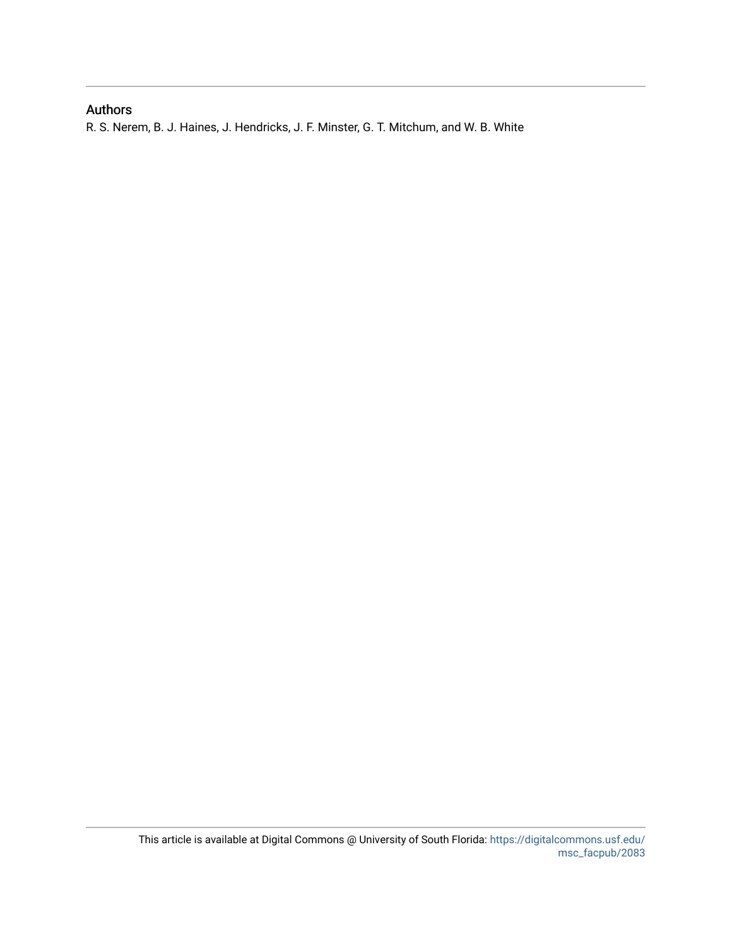# Authors

R. S. Nerem, B. J. Haines, J. Hendricks, J. F. Minster, G. T. Mitchum, and W. B. White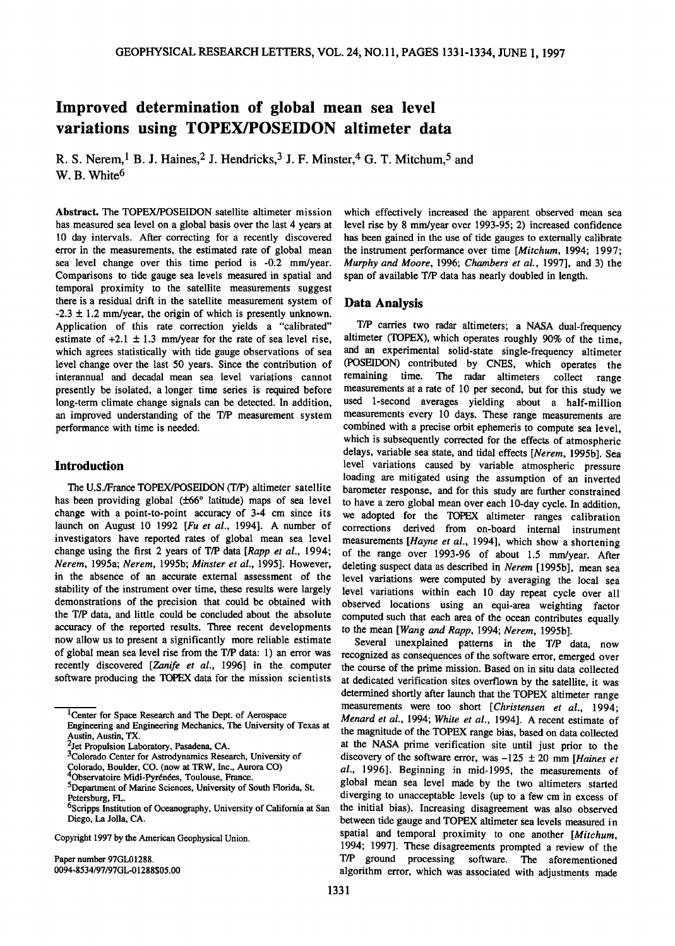# **Improved determination of global mean sea level variations using TOPEX/POSEIDON altimeter data**

R. S. Nerem, <sup>1</sup> B. J. Haines, <sup>2</sup> J. Hendricks, <sup>3</sup> J. F. Minster, <sup>4</sup> G. T. Mitchum, <sup>5</sup> and W. B. White<sup>6</sup>

**Abstract. The TOPEX/POSEIDON satellite altimeter mission has measured sea level on a global basis over the last 4 years at 10 day intervals. After correcting for a recently discovered error in the measurements, the estimated rate of global mean sea level change over this time period is -0.2 mm/year. Comparisons to tide gauge sea levels measured in spatial and temporal proximity to the satellite measurements suggest there is a residual drift in the satellite measurement system of**   $-2.3 \pm 1.2$  mm/year, the origin of which is presently unknown. **Application of this rate correction yields a "calibrated"**  estimate of  $+2.1 \pm 1.3$  mm/year for the rate of sea level rise, **which agrees statistically with tide gauge observations of sea level change over the last 50 years. Since the contribution of interannual and decadal mean sea level variations cannot presently be isolated, a longer time series is required before long-term climate change signals can be detected. In addition, an improved understanding of the T/P measurement system performance with time is needed.** 

## **Introduction**

**The U.S./France TOPEX/POSEIDON (T/P) altimeter satellite**  has been providing global ( $\pm 66^\circ$  latitude) maps of sea level change with a point-to-point accuracy of 3-4 cm since its change with a point-to-point accuracy of 3-4 cm since its we adopted for the TOPEX altimeter ranges calibration launch on August 10 1992 [*Fu et al.*, 1994]. A number of corrections derived from on-hoard internal instrumen investigators have reported rates of global mean sea level measurements [*Hayne et al.*, 1994], which show a shortening change using the first 2 years of T/P data [*Rapp et al.*, 1994; of the range over 1993-96, of about 1 change using the first 2 years of T/P data [Rapp et al., 1994; of the range over 1993-96 of about 1.5 mm/year. After *Nerem*, 1995a; *Nerem*, 1995b; *Minster et al.*, 1995]. However, deleting suspect data as described in **Nerem, 1995a; Nerem, 1995b; Minster et al., 1995]. However, deleting suspect data as described in Nerem [1995b], mean sea**  in the absence of an accurate external assessment of the level variations were computed by averaging the local sea<br>stability of the instrument over time, these results were largely level variations within each 10 day repea stability of the instrument over time, these results were largely level variations within each 10 day repeat cycle over all demonstrations of the precision that could be obtained with observed locations using an equi-area demonstrations of the precision that could be obtained with observed locations using an equi-area weighting factor the T/P data, and little could be concluded about the absolute computed such that each area of the ocean co **the T/P data, and little could be concluded about the absolute** computed such that each area of the ocean contributes equally accuracy of the reported results. Three recent developments to the mean *Wang and Rapp* 1994; accuracy of the reported results. Three recent developments to the mean [Wang and Rapp, 1994; Nerem, 1995b].<br>
now allow us to present a significantly more reliable estimate Several unexplained patterns in the T/P of **now allow us to present a significantly more reliable estimate** Several unexplained patterns in the T/P data, now of global mean sea level rise from the T/P data: 1) an error was recognized as consequences of the software

**which effectively increased the apparent observed mean sea level rise by 8 mm/year over 1993-95; 2) increased confidence has been gained in the use of tide gauges to externally calibrate the instrument performance over time [Mitchurn, 1994; 1997; Murphy and Moore, 1996; Chambers et al., 1997], and 3) the span of available T/P data has nearly doubled in length.** 

#### **Data Analysis**

**T/P carries two radar altimeters; a NASA dual-frequency altimeter (TOPEX), which operates roughly 90% of the time, and an experimental solid-state single-frequency altimeter (POSEIDON) contributed by CNES, which operates the remaining time. The radar altimeters collect range measurements at a rate of 10 per second, but for this study we used 1-second averages yielding about a half-million measurements every 10 days. These range measurements are**  combined with a precise orbit ephemeris to compute sea level, **which is subsequently corrected for the effects of atmospheric delays, variable sea state, and tidal effects [Nerem, 1995b]. Sea level variations caused by variable atmospheric pressure loading are mitigated using the assumption of an inverted barometer response, and for this study are further constrained to have a zero global mean over each 10-day cycle. In addition,**  launch on August 10 1992 [*Fu et al.*, 1994]. A number of corrections derived from on-board internal instrument investigators have reported rates of global mean sea level measurements [*Havne et al.*, 1994] which show a sh

of global mean sea level rise from the T/P data: 1) an error was recognized as consequences of the software error, emerged over<br>recently discovered [Zanife et al., 1996] in the computer the course of the prime mission Base **recently discovered [Zanife et al., 1996] in the computer the course of the prime mission. Based on in situ data collected software producing the TOPEX data for the mission scientists at dedicated verification sites overf** at dedicated verification sites overflown by the satellite, it was **determined shortly after launch that the TOPEX altimeter range measurements were too short [Christensen et al., 1994; Menard et al., 1994; White et al., 1994]. A recent estimate of the magnitude of the TOPEX range bias, based on data collected at the NASA prime verification site until just prior to the**  discovery of the software error, was  $-125 \pm 20$  mm [Haines et **al., 1996]. Beginning in mid, 1995, the measurements of global mean sea level made by the two altimeters started**  Petersburg, FL. Thurstand Sciences, Sun Color, S. Color Color, S. diverging to unacceptable levels (up to a few cm in excess of <sup>6</sup>Scripps Institution of Oceanography, University of California at San the initial bias). Inc **6Scripps Institution of Oceanography, University of California at San the initial bias), Increasing disagreement was also observed**  between tide gauge and TOPEX altimeter sea levels measured in Copyright 1997 by the American Geophysical Union. **Spatial and temporal proximity** to one another [*Mitchum*, **1994; 1997]. These disagreements prompted a review of the**  Paper number 97GL01288.<br>
0094-8534/97/97GL-01288\$05.00 **T/P** ground processing software. The aforementioned algorithm error, which was associated with adjustments made algorithm error, which was associated with adjustments made

**<sup>1</sup>Center for Space Research and The Dept. of Aerospace** 

**Engineering and Engineering Mechanics, The University of Texas at Austin, Austin, TX.** 

**<sup>2</sup>jet Propulsion Laboratory, Pasadena, CA.** 

**<sup>3</sup>Colorado Center for Astrodynamics Research, University of** 

**Colorado, Boulder, CO. (now at TRW, Inc., Aurora CO)** 

**<sup>4</sup>Observatoire Midi-Pyrénées, Toulouse, France.** 

**<sup>5</sup>Department of Marine Sciences, University of South Florida, St.**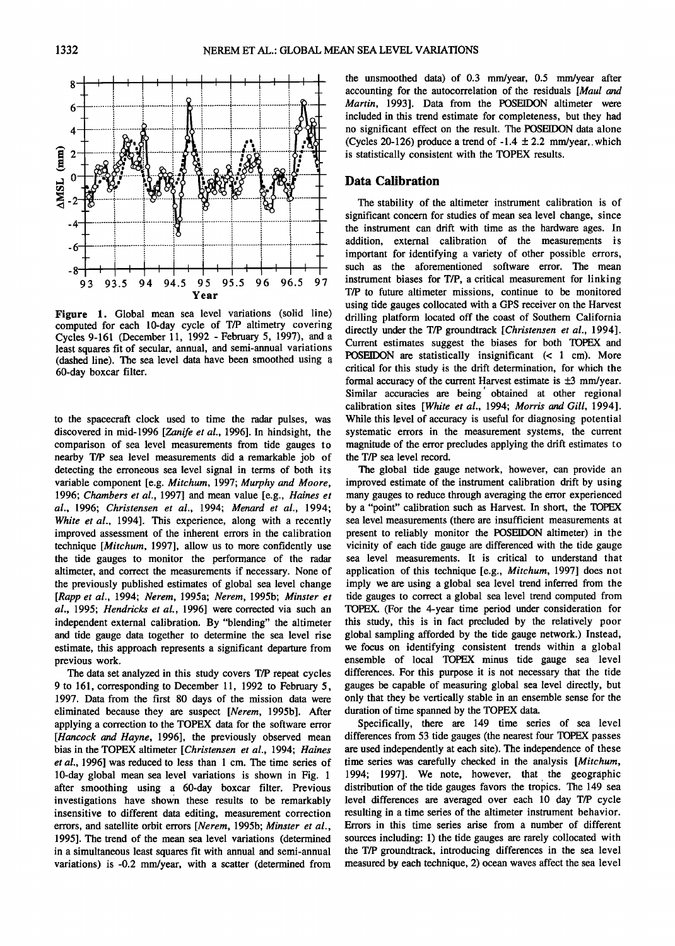

Figure 1. Global mean sea level variations (solid line) computed for each 10-day cycle of T/P altimetry covering Cycles 9-161 (December 11, 1992 - February 5, 1997), and a least squares fit of secular, annual, and semi-annual variations (dashed line). The sea level data have been smoothed using a 60-day boxcar filter.

to the spacecraft clock used to time the radar pulses, was discovered in mid-1996 [Zanife et al., 1996]. In hindsight, the comparison of sea level measurements from tide gauges to nearby T/P sea level measurements did a remarkable job of detecting the erroneous sea level signal in terms of both its variable component [e.g. Mitchum, 1997; Murphy and Moore, 1996; Chambers et al., 1997] and mean value [e.g., Haines et al., 1996; Christensen et al., 1994; Menard et al., 1994; White et al., 1994]. This experience, along with a recently improved assessment of the inherent errors in the calibration technique [Mitchum, 1997], allow us to more confidently use the tide gauges to monitor the performance of the radar altimeter, and correct the measurements if necessary. None of the previously published estimates of global sea level change [Rapp et al., 1994; Nerem, 1995a; Nerem, 1995b; Minster et al., 1995; Hendricks et al., 1996] were corrected via such an independent external calibration. By "blending" the altimeter and tide gauge data together to determine the sea level rise estimate, this approach represents a significant departure from previous work.

The data set analyzed in this study covers T/P repeat cycles 9 to 161, corresponding to December 11, 1992 to February 5, 1997. Data from the first 80 days of the mission data were eliminated because they are suspect [Nerem, 1995b]. After applying a correction to the TOPEX data for the software error [Hancock and Hayne, 1996], the previously observed mean bias in the TOPEX altimeter [Christensen et al., 1994; Haines et al., 1996] was reduced to less than 1 cm. The time series of 10-day global mean sea level variations is shown in Fig. 1 after smoothing using a 60-day boxcar filter. Previous investigations have shown these results to be remarkably insensitive to different data editing, measurement correction errors, and satellite orbit errors [Nerem, 1995b; Minster et al., 1995]. The trend of the mean sea level variations (determined in a simultaneous least squares fit with annual and semi-annual variations) is -0.2 mm/year, with a scatter (determined from the unsmoothed data) of 0.3 mm/year, 0.5 mm/year after accounting for the autocorrelation of the residuals [Maul and Martin, 1993]. Data from the POSEIDON altimeter were included in this trend estimate for completeness, but they had no significant effect on the result. The POSEIDON data alone (Cycles 20-126) produce a trend of -1.4  $\pm$  2.2 mm/year, which is statistically consistent with the TOPEX results.

### **Data Calibration**

The stability of the altimeter instrument calibration is of significant concern for studies of mean sea level change, since the instrument can drift with time as the hardware ages. In addition, external calibration of the measurements is important for identifying a variety of other possible errors, such as the aforementioned software error. The mean instrument biases for T/P, a critical measurement for linking T/P to future altimeter missions, continue to be monitored using tide gauges collocated with a GPS receiver on the Harvest drilling platform located off the coast of Southern California directly under the T/P groundtrack [Christensen et al., 1994]. Current estimates suggest the biases for both TOPEX and POSEIDON are statistically insignificant (< 1 cm). More critical for this study is the drift determination, for which the formal accuracy of the current Harvest estimate is  $\pm 3$  mm/year. Similar accuracies are being obtained at other regional calibration sites [White et al., 1994; Morris and Gill, 1994]. While this level of accuracy is useful for diagnosing potential systematic errors in the measurement systems, the current magnitude of the error precludes applying the drift estimates to the T/P sea level record.

The global tide gauge network, however, can provide an improved estimate of the instrument calibration drift by using many gauges to reduce through averaging the error experienced by a "point" calibration such as Harvest. In short, the TOPEX sea level measurements (there are insufficient measurements at present to reliably monitor the POSEIDON altimeter) in the vicinity of each tide gauge are differenced with the tide gauge sea level measurements. It is critical to understand that application of this technique [e.g., Mitchum, 1997] does not imply we are using a global sea level trend inferred from the tide gauges to correct a global sea level trend computed from TOPEX. (For the 4-year time period under consideration for this study, this is in fact precluded by the relatively poor global sampling afforded by the tide gauge network.) Instead, we focus on identifying consistent trends within a global ensemble of local TOPEX minus tide gauge sea level differences. For this purpose it is not necessary that the tide gauges be capable of measuring global sea level directly, but only that they be vertically stable in an ensemble sense for the duration of time spanned by the TOPEX data.

Specifically, there are 149 time series of sea level differences from 53 tide gauges (the nearest four TOPEX passes are used independently at each site). The independence of these time series was carefully checked in the analysis [Mitchum, 1994; 1997]. We note, however, that the geographic distribution of the tide gauges favors the tropics. The 149 sea level differences are averaged over each 10 day T/P cycle resulting in a time series of the altimeter instrument behavior. Errors in this time series arise from a number of different sources including: 1) the tide gauges are rarely collocated with the T/P groundtrack, introducing differences in the sea level measured by each technique, 2) ocean waves affect the sea level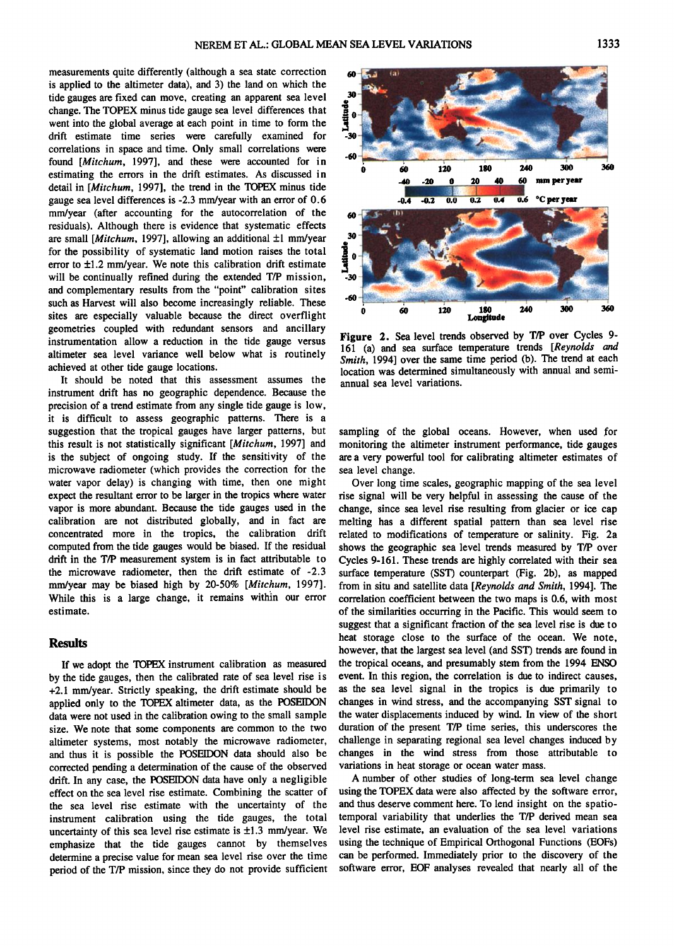**measurements quite differently (although a sea state correction is applied to the altimeter data), and 3) the land on which the tide gauges are fixed can move, creating an apparent sea level change. The TOPEX minus tide gauge sea level differences that went into the global average at each point in time to form the drift estimate time series were carefully examined for correlations in space and time. Only small correlations were found [Mitchurn, 1997], and these were accounted for in estimating the errors in the drift estimates. As discussed in detail in [Mitchurn, 1997], the trend in the TOPEX minus tide gauge sea level differences is -2.3 mm/year with an error of 0.6 mm/year (after accounting for the autocorrelation of the residuals). Although there is evidence that systematic effects**  are small [*Mitchum*, 1997], allowing an additional ±1 mm/year **for the possibility of systematic land motion raises the total**  error to  $\pm 1.2$  mm/year. We note this calibration drift estimate **will be continually refined during the extended T/P mission, and complementary results from the "point" calibration sites such as Harvest will also become increasingly reliable. These sites are especially valuable because the direct overflight geometries coupled with redundant sensors and ancillary instrumentation allow a reduction in the tide gauge versus altimeter sea level variance well below what is routinely achieved at other tide gauge locations.** 

**It should be noted that this assessment assumes the instrument drift has no geographic dependence. Because the precision of a trend estimate from any single tide gauge is low, it is difficult to assess geographic patterns. There is a suggestion that the tropical gauges have larger patterns, but this result is not statistically significant [Mitchurn, 1997] and is the subject of ongoing study. If the sensitivity of the microwave radiometer (which provides the correction for the water vapor delay) is changing with time, then one might expect the resultant error to be larger in the tropics where water vapor is more abundant. Because the tide gauges used in the calibration are not distributed globally, and in fact are concentrated more in the tropics, the calibration drift computed from the tide gauges would be biased. If the residual drift in the T/P measurement system is in fact attributable to the microwave radiometer, then the drift estimate of -2.3 mm/year may be biased high by 20-50% [Mitchum, 1997].**  While this is a large change, it remains within our error **estimate.** 

#### **Results**

**If we adopt the TOPEX instrument calibration as measured by the tide gauges, then the calibrated rate of sea level rise is +2.1 mm/year. Strictly speaking, the drift estimate should be applied only to the TOPEX altimeter data, as the POSEIDON data were not used in the calibration owing to the small sample size. We note that some components are common to the two altimeter systems, most notably the microwave radiometer, and thus it is possible the POSEIDON data should also be**  corrected pending a determination of the cause of the observed **drift. In any case, the POSEIDON data have only a negligible effect on the sea level rise estimate. Combining the scatter of the sea level rise estimate with the uncertainty of the instrument calibration using the tide gauges, the total**  uncertainty of this sea level rise estimate is  $\pm 1.3$  mm/year. We **emphasize that the tide gauges cannot by themselves determine a precise value for mean sea level rise over the time period of the T/P mission, since they do not provide sufficient** 



**Figure 2. Sea level trends observed by T/P over Cycles 9- 161 (a) and sea surface temperature trends [Reynolds and Smith, 1994] over the same time period (b). The trend at each location was determined simultaneously with annual and semiannual sea level variations.** 

sampling of the global oceans. However, when used for **monitoring the altimeter instrument performance, tide gauges are a very powerful tool for calibrating altimeter estimates of sea level change.** 

**Over long time scales, geographic mapping of the sea level rise signal will be very helpful in assessing the cause of the change, since sea level rise resulting from glacier or ice cap melting has a different spatial pattern than sea level rise related to modifications of temperature or salinity. Fig. 2a shows the geographic sea level trends measured by T/P over Cycles 9-161. These trends are highly correlated with their sea**  surface temperature (SST) counterpart (Fig. 2b), as mapped **from in situ and satellite data [Reynolds and Smith, 1994]. The correlation coefficient between the two maps is 0.6, with most of the similarities occurring in the Pacific. This would seem to suggest that a significant fraction of the sea level rise is due to heat storage close to the surface of the ocean. We note, however, that the largest sea level (and SST) trends are found in the tropical oceans, and presumably stem from the 1994 ENSO event. In this region, the correlation is due to indirect causes, as the sea level signal in the tropics is due primarily to changes in wind stress, and the accompanying SST signal to the water displacements induced by wind. In view of the short duration of the present T/P time series, this underscores the challenge in separating regional sea level changes induced by changes in the wind stress from those attributable to variations in heat storage or ocean water mass.** 

**A number of other studies of long-term sea level change**  using the TOPEX data were also affected by the software error, **and thus deserve comment here. To lend insight on the spatiotemporal variability that underlies the T/P derived mean sea level rise estimate, an evaluation of the sea level variations using the technique of Empirical Orthogonal Functions (EOFs) can be performed. Immediately prior to the discovery of the software error, EOF analyses revealed that nearly all of the**